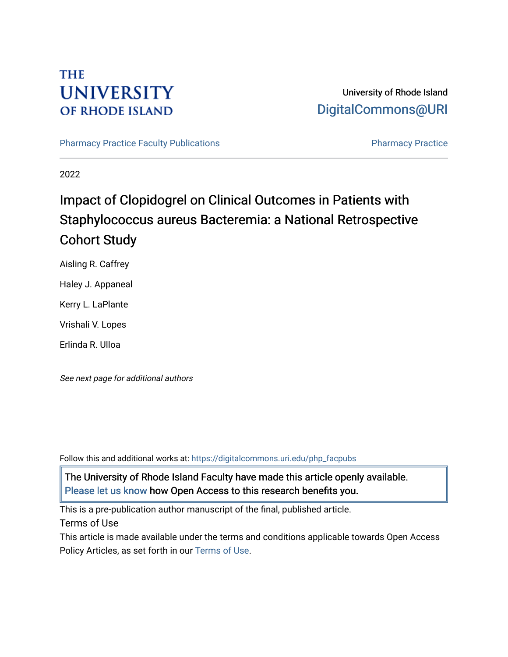# **THE UNIVERSITY OF RHODE ISLAND**

## University of Rhode Island [DigitalCommons@URI](https://digitalcommons.uri.edu/)

[Pharmacy Practice Faculty Publications](https://digitalcommons.uri.edu/php_facpubs) **Pharmacy Practice** Pharmacy Practice

2022

# Impact of Clopidogrel on Clinical Outcomes in Patients with Staphylococcus aureus Bacteremia: a National Retrospective Cohort Study

Aisling R. Caffrey

Haley J. Appaneal

Kerry L. LaPlante

Vrishali V. Lopes

Erlinda R. Ulloa

See next page for additional authors

Follow this and additional works at: [https://digitalcommons.uri.edu/php\\_facpubs](https://digitalcommons.uri.edu/php_facpubs?utm_source=digitalcommons.uri.edu%2Fphp_facpubs%2F1722&utm_medium=PDF&utm_campaign=PDFCoverPages) 

The University of Rhode Island Faculty have made this article openly available. [Please let us know](http://web.uri.edu/library-digital-initiatives/open-access-online-form/) how Open Access to this research benefits you.

This is a pre-publication author manuscript of the final, published article.

Terms of Use

This article is made available under the terms and conditions applicable towards Open Access Policy Articles, as set forth in our [Terms of Use](https://digitalcommons.uri.edu/php_facpubs/oa_policy_terms.html).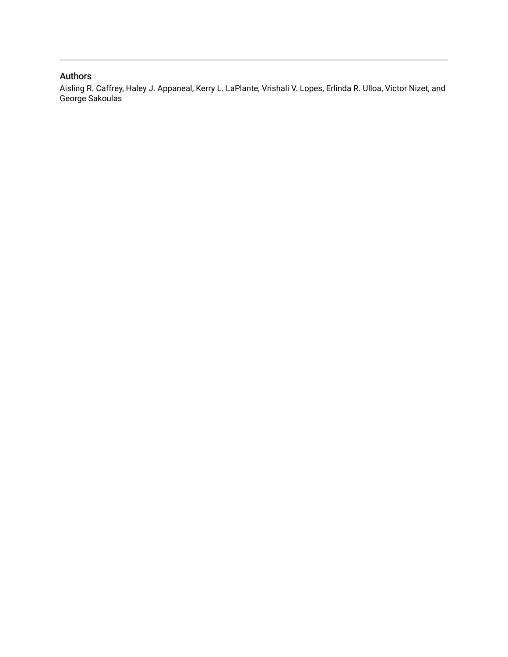## Authors

Aisling R. Caffrey, Haley J. Appaneal, Kerry L. LaPlante, Vrishali V. Lopes, Erlinda R. Ulloa, Victor Nizet, and George Sakoulas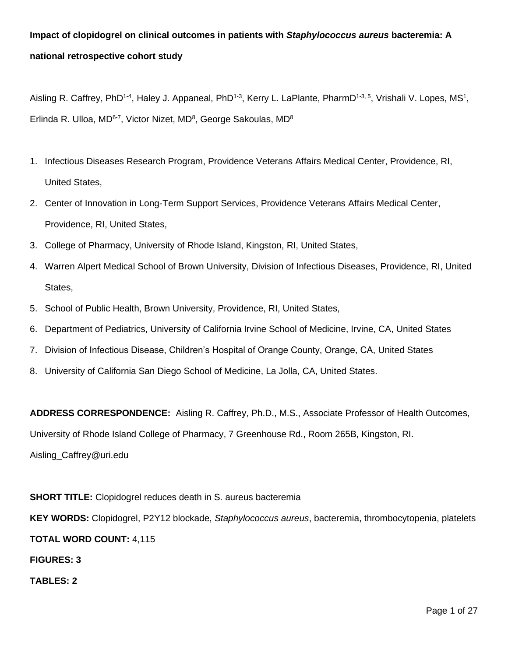## **Impact of clopidogrel on clinical outcomes in patients with** *Staphylococcus aureus* **bacteremia: A national retrospective cohort study**

Aisling R. Caffrey, PhD<sup>1-4</sup>, Haley J. Appaneal, PhD<sup>1-3</sup>, Kerry L. LaPlante, PharmD<sup>1-3, 5</sup>, Vrishali V. Lopes, MS<sup>1</sup>, Erlinda R. Ulloa, MD<sup>6-7</sup>, Victor Nizet, MD<sup>8</sup>, George Sakoulas, MD<sup>8</sup>

- 1. Infectious Diseases Research Program, Providence Veterans Affairs Medical Center, Providence, RI, United States,
- 2. Center of Innovation in Long-Term Support Services, Providence Veterans Affairs Medical Center, Providence, RI, United States,
- 3. College of Pharmacy, University of Rhode Island, Kingston, RI, United States,
- 4. Warren Alpert Medical School of Brown University, Division of Infectious Diseases, Providence, RI, United States,
- 5. School of Public Health, Brown University, Providence, RI, United States,
- 6. Department of Pediatrics, University of California Irvine School of Medicine, Irvine, CA, United States
- 7. Division of Infectious Disease, Children's Hospital of Orange County, Orange, CA, United States
- 8. University of California San Diego School of Medicine, La Jolla, CA, United States.

**ADDRESS CORRESPONDENCE:** Aisling R. Caffrey, Ph.D., M.S., Associate Professor of Health Outcomes, University of Rhode Island College of Pharmacy, 7 Greenhouse Rd., Room 265B, Kingston, RI. Aisling\_Caffrey@uri.edu

**SHORT TITLE:** Clopidogrel reduces death in S. aureus bacteremia **KEY WORDS:** Clopidogrel, P2Y12 blockade, *Staphylococcus aureus*, bacteremia, thrombocytopenia, platelets **TOTAL WORD COUNT:** 4,115 **FIGURES: 3**

**TABLES: 2**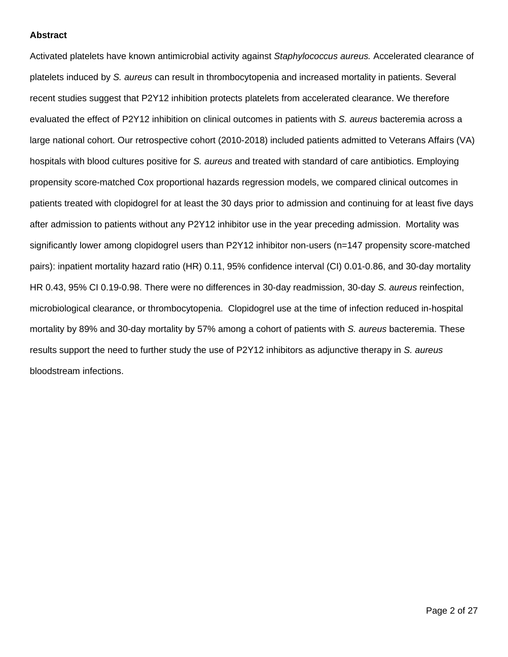#### **Abstract**

Activated platelets have known antimicrobial activity against *Staphylococcus aureus.* Accelerated clearance of platelets induced by *S. aureus* can result in thrombocytopenia and increased mortality in patients. Several recent studies suggest that P2Y12 inhibition protects platelets from accelerated clearance. We therefore evaluated the effect of P2Y12 inhibition on clinical outcomes in patients with *S. aureus* bacteremia across a large national cohort. Our retrospective cohort (2010-2018) included patients admitted to Veterans Affairs (VA) hospitals with blood cultures positive for *S. aureus* and treated with standard of care antibiotics. Employing propensity score-matched Cox proportional hazards regression models, we compared clinical outcomes in patients treated with clopidogrel for at least the 30 days prior to admission and continuing for at least five days after admission to patients without any P2Y12 inhibitor use in the year preceding admission. Mortality was significantly lower among clopidogrel users than P2Y12 inhibitor non-users (n=147 propensity score-matched pairs): inpatient mortality hazard ratio (HR) 0.11, 95% confidence interval (CI) 0.01-0.86, and 30-day mortality HR 0.43, 95% CI 0.19-0.98. There were no differences in 30-day readmission, 30-day *S. aureus* reinfection, microbiological clearance, or thrombocytopenia. Clopidogrel use at the time of infection reduced in-hospital mortality by 89% and 30-day mortality by 57% among a cohort of patients with *S. aureus* bacteremia. These results support the need to further study the use of P2Y12 inhibitors as adjunctive therapy in *S. aureus* bloodstream infections.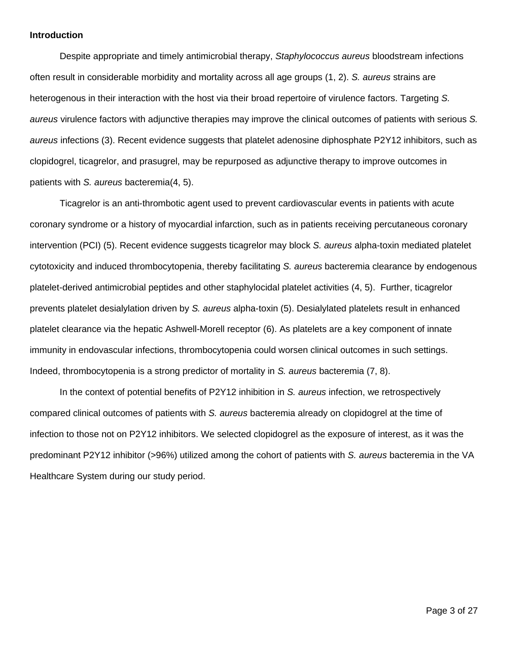#### **Introduction**

Despite appropriate and timely antimicrobial therapy, *Staphylococcus aureus* bloodstream infections often result in considerable morbidity and mortality across all age groups (1, 2). *S. aureus* strains are heterogenous in their interaction with the host via their broad repertoire of virulence factors. Targeting *S. aureus* virulence factors with adjunctive therapies may improve the clinical outcomes of patients with serious *S. aureus* infections (3). Recent evidence suggests that platelet adenosine diphosphate P2Y12 inhibitors, such as clopidogrel, ticagrelor, and prasugrel, may be repurposed as adjunctive therapy to improve outcomes in patients with *S. aureus* bacteremia(4, 5).

Ticagrelor is an anti-thrombotic agent used to prevent cardiovascular events in patients with acute coronary syndrome or a history of myocardial infarction, such as in patients receiving percutaneous coronary intervention (PCI) (5). Recent evidence suggests ticagrelor may block *S. aureus* alpha-toxin mediated platelet cytotoxicity and induced thrombocytopenia, thereby facilitating *S. aureus* bacteremia clearance by endogenous platelet-derived antimicrobial peptides and other staphylocidal platelet activities (4, 5). Further, ticagrelor prevents platelet desialylation driven by *S. aureus* alpha-toxin (5). Desialylated platelets result in enhanced platelet clearance via the hepatic Ashwell-Morell receptor (6). As platelets are a key component of innate immunity in endovascular infections, thrombocytopenia could worsen clinical outcomes in such settings. Indeed, thrombocytopenia is a strong predictor of mortality in *S. aureus* bacteremia (7, 8).

In the context of potential benefits of P2Y12 inhibition in *S. aureus* infection, we retrospectively compared clinical outcomes of patients with *S. aureus* bacteremia already on clopidogrel at the time of infection to those not on P2Y12 inhibitors. We selected clopidogrel as the exposure of interest, as it was the predominant P2Y12 inhibitor (>96%) utilized among the cohort of patients with *S. aureus* bacteremia in the VA Healthcare System during our study period.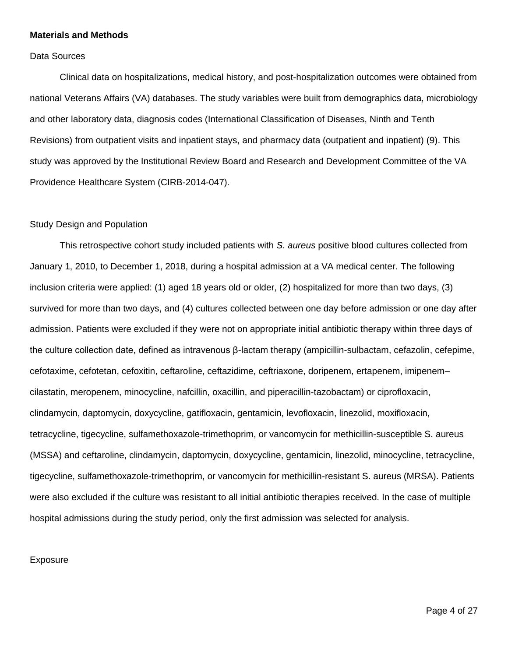#### **Materials and Methods**

Data Sources

Clinical data on hospitalizations, medical history, and post-hospitalization outcomes were obtained from national Veterans Affairs (VA) databases. The study variables were built from demographics data, microbiology and other laboratory data, diagnosis codes (International Classification of Diseases, Ninth and Tenth Revisions) from outpatient visits and inpatient stays, and pharmacy data (outpatient and inpatient) (9). This study was approved by the Institutional Review Board and Research and Development Committee of the VA Providence Healthcare System (CIRB-2014-047).

#### Study Design and Population

This retrospective cohort study included patients with *S. aureus* positive blood cultures collected from January 1, 2010, to December 1, 2018, during a hospital admission at a VA medical center. The following inclusion criteria were applied: (1) aged 18 years old or older, (2) hospitalized for more than two days, (3) survived for more than two days, and (4) cultures collected between one day before admission or one day after admission. Patients were excluded if they were not on appropriate initial antibiotic therapy within three days of the culture collection date, defined as intravenous β-lactam therapy (ampicillin-sulbactam, cefazolin, cefepime, cefotaxime, cefotetan, cefoxitin, ceftaroline, ceftazidime, ceftriaxone, doripenem, ertapenem, imipenem– cilastatin, meropenem, minocycline, nafcillin, oxacillin, and piperacillin-tazobactam) or ciprofloxacin, clindamycin, daptomycin, doxycycline, gatifloxacin, gentamicin, levofloxacin, linezolid, moxifloxacin, tetracycline, tigecycline, sulfamethoxazole-trimethoprim, or vancomycin for methicillin-susceptible S. aureus (MSSA) and ceftaroline, clindamycin, daptomycin, doxycycline, gentamicin, linezolid, minocycline, tetracycline, tigecycline, sulfamethoxazole-trimethoprim, or vancomycin for methicillin-resistant S. aureus (MRSA). Patients were also excluded if the culture was resistant to all initial antibiotic therapies received. In the case of multiple hospital admissions during the study period, only the first admission was selected for analysis.

#### Exposure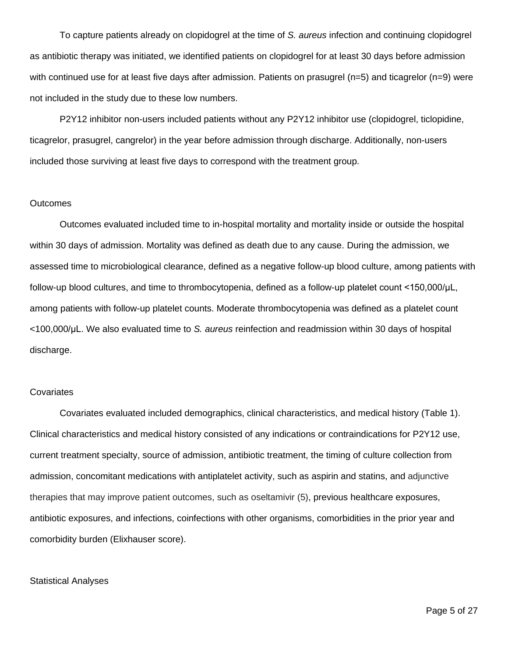To capture patients already on clopidogrel at the time of *S. aureus* infection and continuing clopidogrel as antibiotic therapy was initiated, we identified patients on clopidogrel for at least 30 days before admission with continued use for at least five days after admission. Patients on prasugrel (n=5) and ticagrelor (n=9) were not included in the study due to these low numbers.

P2Y12 inhibitor non-users included patients without any P2Y12 inhibitor use (clopidogrel, ticlopidine, ticagrelor, prasugrel, cangrelor) in the year before admission through discharge. Additionally, non-users included those surviving at least five days to correspond with the treatment group.

#### Outcomes

Outcomes evaluated included time to in-hospital mortality and mortality inside or outside the hospital within 30 days of admission. Mortality was defined as death due to any cause. During the admission, we assessed time to microbiological clearance, defined as a negative follow-up blood culture, among patients with follow-up blood cultures, and time to thrombocytopenia, defined as a follow-up platelet count <150,000/μL, among patients with follow-up platelet counts. Moderate thrombocytopenia was defined as a platelet count <100,000/μL. We also evaluated time to *S. aureus* reinfection and readmission within 30 days of hospital discharge.

#### **Covariates**

Covariates evaluated included demographics, clinical characteristics, and medical history (Table 1). Clinical characteristics and medical history consisted of any indications or contraindications for P2Y12 use, current treatment specialty, source of admission, antibiotic treatment, the timing of culture collection from admission, concomitant medications with antiplatelet activity, such as aspirin and statins, and adjunctive therapies that may improve patient outcomes, such as oseltamivir (5), previous healthcare exposures, antibiotic exposures, and infections, coinfections with other organisms, comorbidities in the prior year and comorbidity burden (Elixhauser score).

#### Statistical Analyses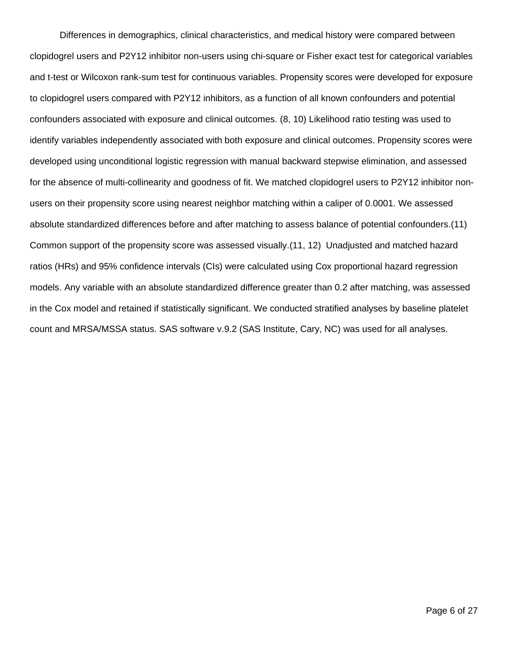Differences in demographics, clinical characteristics, and medical history were compared between clopidogrel users and P2Y12 inhibitor non-users using chi-square or Fisher exact test for categorical variables and t-test or Wilcoxon rank-sum test for continuous variables. Propensity scores were developed for exposure to clopidogrel users compared with P2Y12 inhibitors, as a function of all known confounders and potential confounders associated with exposure and clinical outcomes. (8, 10) Likelihood ratio testing was used to identify variables independently associated with both exposure and clinical outcomes. Propensity scores were developed using unconditional logistic regression with manual backward stepwise elimination, and assessed for the absence of multi-collinearity and goodness of fit. We matched clopidogrel users to P2Y12 inhibitor nonusers on their propensity score using nearest neighbor matching within a caliper of 0.0001. We assessed absolute standardized differences before and after matching to assess balance of potential confounders.(11) Common support of the propensity score was assessed visually.(11, 12) Unadjusted and matched hazard ratios (HRs) and 95% confidence intervals (CIs) were calculated using Cox proportional hazard regression models. Any variable with an absolute standardized difference greater than 0.2 after matching, was assessed in the Cox model and retained if statistically significant. We conducted stratified analyses by baseline platelet count and MRSA/MSSA status. SAS software v.9.2 (SAS Institute, Cary, NC) was used for all analyses.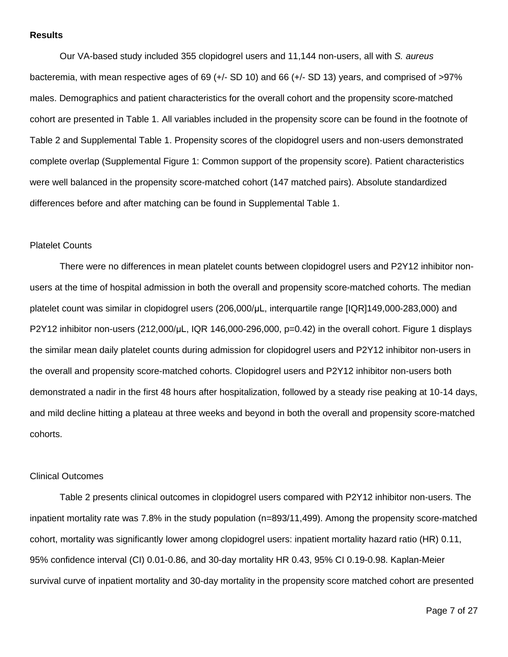#### **Results**

Our VA-based study included 355 clopidogrel users and 11,144 non-users, all with *S. aureus* bacteremia, with mean respective ages of 69 (+/- SD 10) and 66 (+/- SD 13) years, and comprised of >97% males. Demographics and patient characteristics for the overall cohort and the propensity score-matched cohort are presented in Table 1. All variables included in the propensity score can be found in the footnote of Table 2 and Supplemental Table 1. Propensity scores of the clopidogrel users and non-users demonstrated complete overlap (Supplemental Figure 1: Common support of the propensity score). Patient characteristics were well balanced in the propensity score-matched cohort (147 matched pairs). Absolute standardized differences before and after matching can be found in Supplemental Table 1.

#### Platelet Counts

There were no differences in mean platelet counts between clopidogrel users and P2Y12 inhibitor nonusers at the time of hospital admission in both the overall and propensity score-matched cohorts. The median platelet count was similar in clopidogrel users (206,000/μL, interquartile range [IQR]149,000-283,000) and P2Y12 inhibitor non-users (212,000/μL, IQR 146,000-296,000, p=0.42) in the overall cohort. Figure 1 displays the similar mean daily platelet counts during admission for clopidogrel users and P2Y12 inhibitor non-users in the overall and propensity score-matched cohorts. Clopidogrel users and P2Y12 inhibitor non-users both demonstrated a nadir in the first 48 hours after hospitalization, followed by a steady rise peaking at 10-14 days, and mild decline hitting a plateau at three weeks and beyond in both the overall and propensity score-matched cohorts.

#### Clinical Outcomes

Table 2 presents clinical outcomes in clopidogrel users compared with P2Y12 inhibitor non-users. The inpatient mortality rate was 7.8% in the study population (n=893/11,499). Among the propensity score-matched cohort, mortality was significantly lower among clopidogrel users: inpatient mortality hazard ratio (HR) 0.11, 95% confidence interval (CI) 0.01-0.86, and 30-day mortality HR 0.43, 95% CI 0.19-0.98. Kaplan-Meier survival curve of inpatient mortality and 30-day mortality in the propensity score matched cohort are presented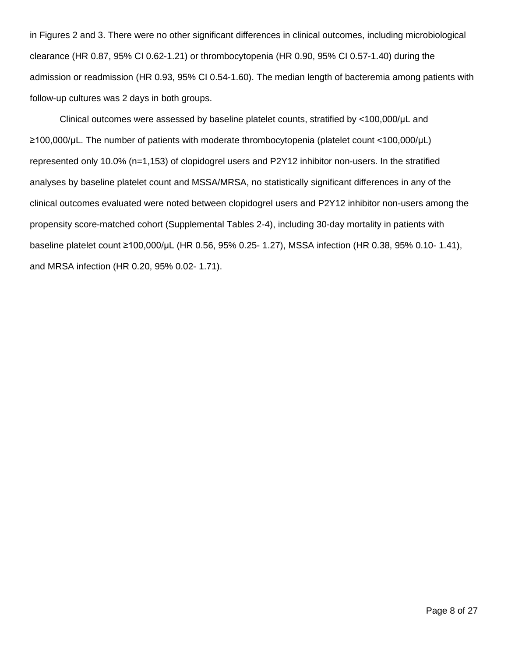in Figures 2 and 3. There were no other significant differences in clinical outcomes, including microbiological clearance (HR 0.87, 95% CI 0.62-1.21) or thrombocytopenia (HR 0.90, 95% CI 0.57-1.40) during the admission or readmission (HR 0.93, 95% CI 0.54-1.60). The median length of bacteremia among patients with follow-up cultures was 2 days in both groups.

Clinical outcomes were assessed by baseline platelet counts, stratified by <100,000/μL and ≥100,000/μL. The number of patients with moderate thrombocytopenia (platelet count <100,000/μL) represented only 10.0% (n=1,153) of clopidogrel users and P2Y12 inhibitor non-users. In the stratified analyses by baseline platelet count and MSSA/MRSA, no statistically significant differences in any of the clinical outcomes evaluated were noted between clopidogrel users and P2Y12 inhibitor non-users among the propensity score-matched cohort (Supplemental Tables 2-4), including 30-day mortality in patients with baseline platelet count ≥100,000/μL (HR 0.56, 95% 0.25- 1.27), MSSA infection (HR 0.38, 95% 0.10- 1.41), and MRSA infection (HR 0.20, 95% 0.02- 1.71).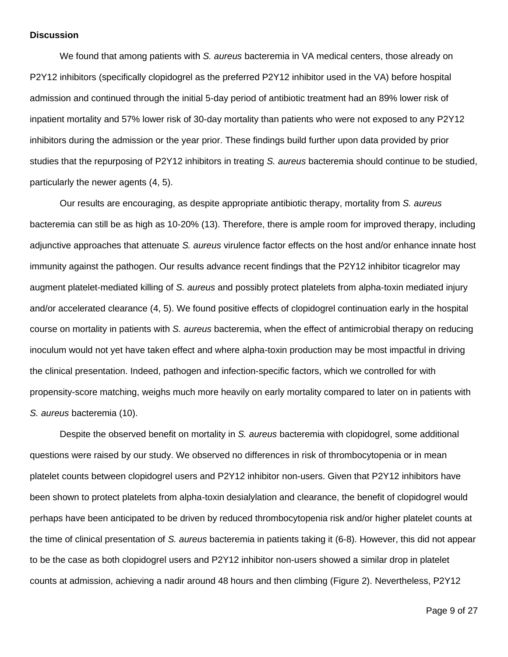#### **Discussion**

We found that among patients with *S. aureus* bacteremia in VA medical centers, those already on P2Y12 inhibitors (specifically clopidogrel as the preferred P2Y12 inhibitor used in the VA) before hospital admission and continued through the initial 5-day period of antibiotic treatment had an 89% lower risk of inpatient mortality and 57% lower risk of 30-day mortality than patients who were not exposed to any P2Y12 inhibitors during the admission or the year prior. These findings build further upon data provided by prior studies that the repurposing of P2Y12 inhibitors in treating *S. aureus* bacteremia should continue to be studied, particularly the newer agents (4, 5).

Our results are encouraging, as despite appropriate antibiotic therapy, mortality from *S. aureus* bacteremia can still be as high as 10-20% (13). Therefore, there is ample room for improved therapy, including adjunctive approaches that attenuate *S. aureus* virulence factor effects on the host and/or enhance innate host immunity against the pathogen. Our results advance recent findings that the P2Y12 inhibitor ticagrelor may augment platelet-mediated killing of *S. aureus* and possibly protect platelets from alpha-toxin mediated injury and/or accelerated clearance (4, 5). We found positive effects of clopidogrel continuation early in the hospital course on mortality in patients with *S. aureus* bacteremia, when the effect of antimicrobial therapy on reducing inoculum would not yet have taken effect and where alpha-toxin production may be most impactful in driving the clinical presentation. Indeed, pathogen and infection-specific factors, which we controlled for with propensity-score matching, weighs much more heavily on early mortality compared to later on in patients with *S. aureus* bacteremia (10).

Despite the observed benefit on mortality in *S. aureus* bacteremia with clopidogrel, some additional questions were raised by our study. We observed no differences in risk of thrombocytopenia or in mean platelet counts between clopidogrel users and P2Y12 inhibitor non-users. Given that P2Y12 inhibitors have been shown to protect platelets from alpha-toxin desialylation and clearance, the benefit of clopidogrel would perhaps have been anticipated to be driven by reduced thrombocytopenia risk and/or higher platelet counts at the time of clinical presentation of *S. aureus* bacteremia in patients taking it (6-8). However, this did not appear to be the case as both clopidogrel users and P2Y12 inhibitor non-users showed a similar drop in platelet counts at admission, achieving a nadir around 48 hours and then climbing (Figure 2). Nevertheless, P2Y12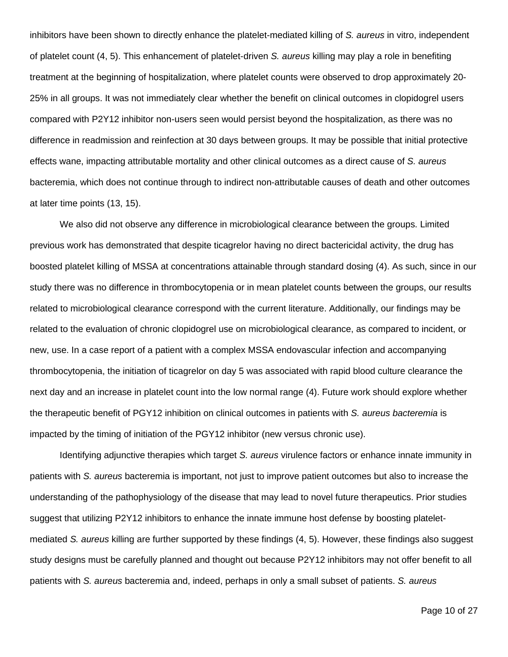inhibitors have been shown to directly enhance the platelet-mediated killing of *S. aureus* in vitro, independent of platelet count (4, 5). This enhancement of platelet-driven *S. aureus* killing may play a role in benefiting treatment at the beginning of hospitalization, where platelet counts were observed to drop approximately 20- 25% in all groups. It was not immediately clear whether the benefit on clinical outcomes in clopidogrel users compared with P2Y12 inhibitor non-users seen would persist beyond the hospitalization, as there was no difference in readmission and reinfection at 30 days between groups. It may be possible that initial protective effects wane, impacting attributable mortality and other clinical outcomes as a direct cause of *S. aureus* bacteremia, which does not continue through to indirect non-attributable causes of death and other outcomes at later time points (13, 15).

We also did not observe any difference in microbiological clearance between the groups. Limited previous work has demonstrated that despite ticagrelor having no direct bactericidal activity, the drug has boosted platelet killing of MSSA at concentrations attainable through standard dosing (4). As such, since in our study there was no difference in thrombocytopenia or in mean platelet counts between the groups, our results related to microbiological clearance correspond with the current literature. Additionally, our findings may be related to the evaluation of chronic clopidogrel use on microbiological clearance, as compared to incident, or new, use. In a case report of a patient with a complex MSSA endovascular infection and accompanying thrombocytopenia, the initiation of ticagrelor on day 5 was associated with rapid blood culture clearance the next day and an increase in platelet count into the low normal range (4). Future work should explore whether the therapeutic benefit of PGY12 inhibition on clinical outcomes in patients with *S. aureus bacteremia* is impacted by the timing of initiation of the PGY12 inhibitor (new versus chronic use).

Identifying adjunctive therapies which target *S. aureus* virulence factors or enhance innate immunity in patients with *S. aureus* bacteremia is important, not just to improve patient outcomes but also to increase the understanding of the pathophysiology of the disease that may lead to novel future therapeutics. Prior studies suggest that utilizing P2Y12 inhibitors to enhance the innate immune host defense by boosting plateletmediated *S. aureus* killing are further supported by these findings (4, 5). However, these findings also suggest study designs must be carefully planned and thought out because P2Y12 inhibitors may not offer benefit to all patients with *S. aureus* bacteremia and, indeed, perhaps in only a small subset of patients. *S. aureus*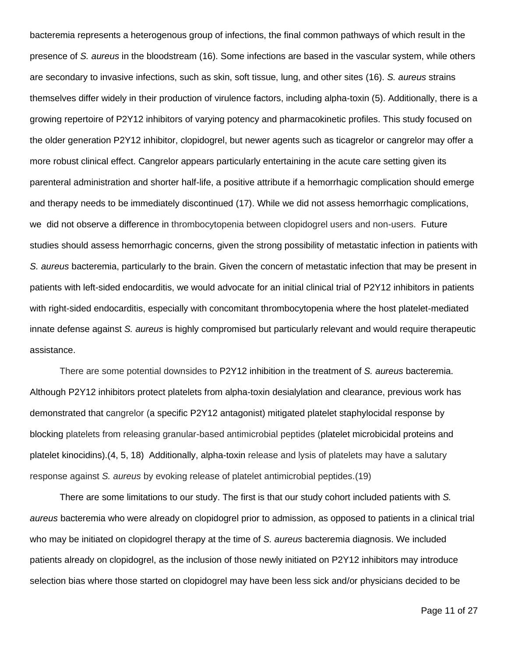bacteremia represents a heterogenous group of infections, the final common pathways of which result in the presence of *S. aureus* in the bloodstream (16). Some infections are based in the vascular system, while others are secondary to invasive infections, such as skin, soft tissue, lung, and other sites (16). *S. aureus* strains themselves differ widely in their production of virulence factors, including alpha-toxin (5). Additionally, there is a growing repertoire of P2Y12 inhibitors of varying potency and pharmacokinetic profiles. This study focused on the older generation P2Y12 inhibitor, clopidogrel, but newer agents such as ticagrelor or cangrelor may offer a more robust clinical effect. Cangrelor appears particularly entertaining in the acute care setting given its parenteral administration and shorter half-life, a positive attribute if a hemorrhagic complication should emerge and therapy needs to be immediately discontinued (17). While we did not assess hemorrhagic complications, we did not observe a difference in thrombocytopenia between clopidogrel users and non-users. Future studies should assess hemorrhagic concerns, given the strong possibility of metastatic infection in patients with *S. aureus* bacteremia, particularly to the brain. Given the concern of metastatic infection that may be present in patients with left-sided endocarditis, we would advocate for an initial clinical trial of P2Y12 inhibitors in patients with right-sided endocarditis, especially with concomitant thrombocytopenia where the host platelet-mediated innate defense against *S. aureus* is highly compromised but particularly relevant and would require therapeutic assistance.

There are some potential downsides to P2Y12 inhibition in the treatment of *S. aureus* bacteremia. Although P2Y12 inhibitors protect platelets from alpha-toxin desialylation and clearance, previous work has demonstrated that cangrelor (a specific P2Y12 antagonist) mitigated platelet staphylocidal response by blocking platelets from releasing granular-based antimicrobial peptides (platelet microbicidal proteins and platelet kinocidins).(4, 5, 18) Additionally, alpha-toxin release and lysis of platelets may have a salutary response against *S. aureus* by evoking release of platelet antimicrobial peptides.(19)

There are some limitations to our study. The first is that our study cohort included patients with *S. aureus* bacteremia who were already on clopidogrel prior to admission, as opposed to patients in a clinical trial who may be initiated on clopidogrel therapy at the time of *S. aureus* bacteremia diagnosis. We included patients already on clopidogrel, as the inclusion of those newly initiated on P2Y12 inhibitors may introduce selection bias where those started on clopidogrel may have been less sick and/or physicians decided to be

Page 11 of 27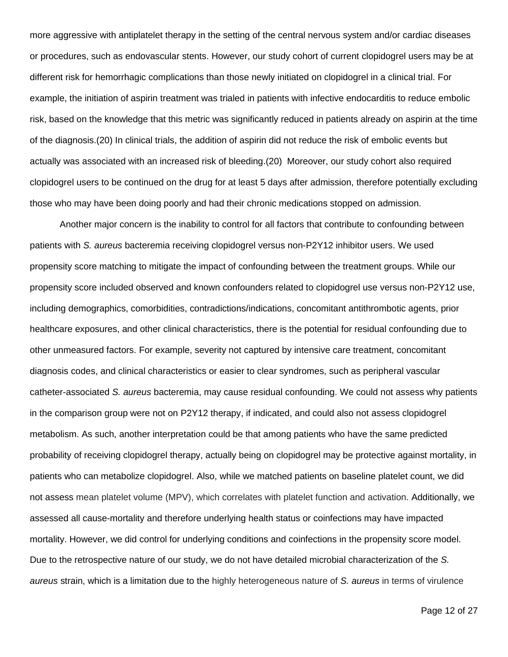more aggressive with antiplatelet therapy in the setting of the central nervous system and/or cardiac diseases or procedures, such as endovascular stents. However, our study cohort of current clopidogrel users may be at different risk for hemorrhagic complications than those newly initiated on clopidogrel in a clinical trial. For example, the initiation of aspirin treatment was trialed in patients with infective endocarditis to reduce embolic risk, based on the knowledge that this metric was significantly reduced in patients already on aspirin at the time of the diagnosis.(20) In clinical trials, the addition of aspirin did not reduce the risk of embolic events but actually was associated with an increased risk of bleeding.(20) Moreover, our study cohort also required clopidogrel users to be continued on the drug for at least 5 days after admission, therefore potentially excluding those who may have been doing poorly and had their chronic medications stopped on admission.

Another major concern is the inability to control for all factors that contribute to confounding between patients with *S. aureus* bacteremia receiving clopidogrel versus non-P2Y12 inhibitor users. We used propensity score matching to mitigate the impact of confounding between the treatment groups. While our propensity score included observed and known confounders related to clopidogrel use versus non-P2Y12 use, including demographics, comorbidities, contradictions/indications, concomitant antithrombotic agents, prior healthcare exposures, and other clinical characteristics, there is the potential for residual confounding due to other unmeasured factors. For example, severity not captured by intensive care treatment, concomitant diagnosis codes, and clinical characteristics or easier to clear syndromes, such as peripheral vascular catheter-associated *S. aureus* bacteremia, may cause residual confounding. We could not assess why patients in the comparison group were not on P2Y12 therapy, if indicated, and could also not assess clopidogrel metabolism. As such, another interpretation could be that among patients who have the same predicted probability of receiving clopidogrel therapy, actually being on clopidogrel may be protective against mortality, in patients who can metabolize clopidogrel. Also, while we matched patients on baseline platelet count, we did not assess mean platelet volume (MPV), which correlates with platelet function and activation. Additionally, we assessed all cause-mortality and therefore underlying health status or coinfections may have impacted mortality. However, we did control for underlying conditions and coinfections in the propensity score model. Due to the retrospective nature of our study, we do not have detailed microbial characterization of the *S. aureus* strain, which is a limitation due to the highly heterogeneous nature of *S. aureus* in terms of virulence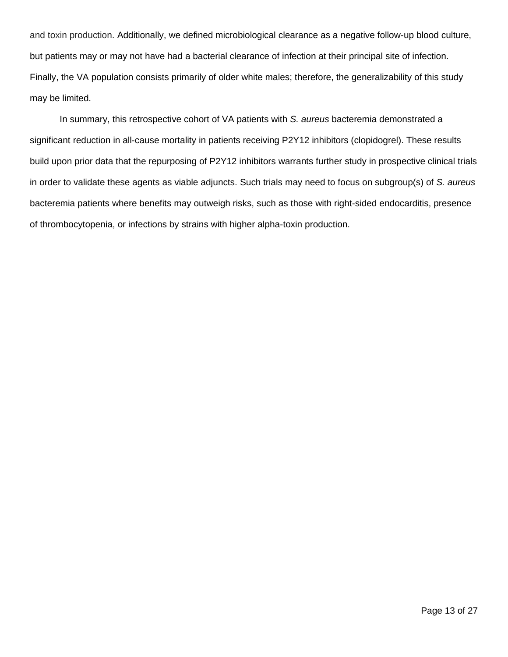and toxin production. Additionally, we defined microbiological clearance as a negative follow-up blood culture, but patients may or may not have had a bacterial clearance of infection at their principal site of infection. Finally, the VA population consists primarily of older white males; therefore, the generalizability of this study may be limited.

In summary, this retrospective cohort of VA patients with *S. aureus* bacteremia demonstrated a significant reduction in all-cause mortality in patients receiving P2Y12 inhibitors (clopidogrel). These results build upon prior data that the repurposing of P2Y12 inhibitors warrants further study in prospective clinical trials in order to validate these agents as viable adjuncts. Such trials may need to focus on subgroup(s) of *S. aureus* bacteremia patients where benefits may outweigh risks, such as those with right-sided endocarditis, presence of thrombocytopenia, or infections by strains with higher alpha-toxin production.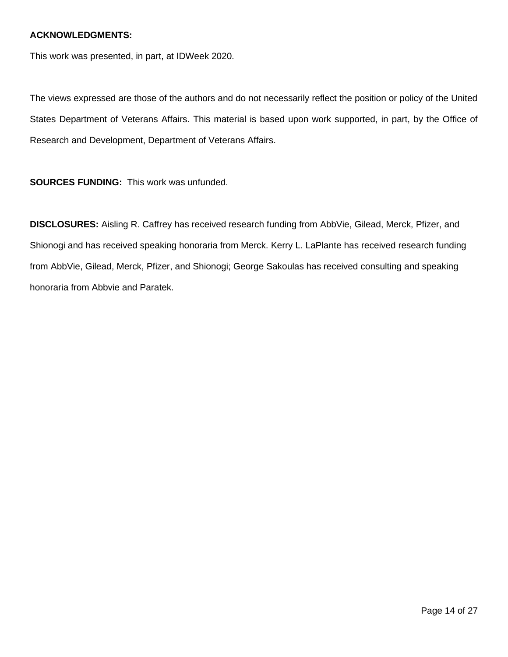#### **ACKNOWLEDGMENTS:**

This work was presented, in part, at IDWeek 2020.

The views expressed are those of the authors and do not necessarily reflect the position or policy of the United States Department of Veterans Affairs. This material is based upon work supported, in part, by the Office of Research and Development, Department of Veterans Affairs.

**SOURCES FUNDING:** This work was unfunded.

**DISCLOSURES:** Aisling R. Caffrey has received research funding from AbbVie, Gilead, Merck, Pfizer, and Shionogi and has received speaking honoraria from Merck. Kerry L. LaPlante has received research funding from AbbVie, Gilead, Merck, Pfizer, and Shionogi; George Sakoulas has received consulting and speaking honoraria from Abbvie and Paratek.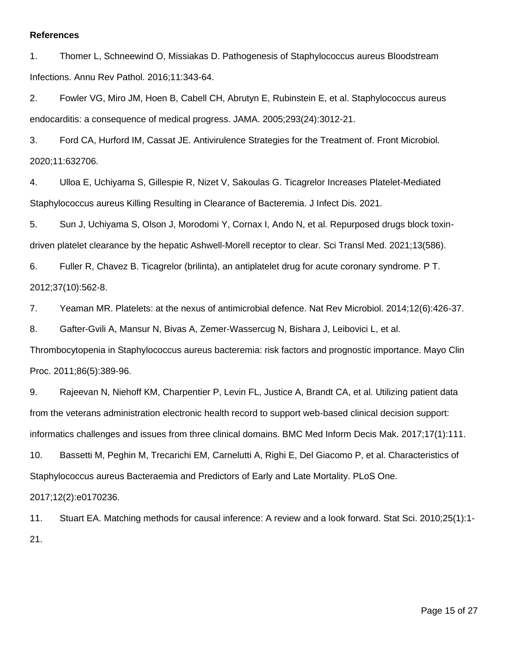#### **References**

1. Thomer L, Schneewind O, Missiakas D. Pathogenesis of Staphylococcus aureus Bloodstream Infections. Annu Rev Pathol. 2016;11:343-64.

2. Fowler VG, Miro JM, Hoen B, Cabell CH, Abrutyn E, Rubinstein E, et al. Staphylococcus aureus endocarditis: a consequence of medical progress. JAMA. 2005;293(24):3012-21.

3. Ford CA, Hurford IM, Cassat JE. Antivirulence Strategies for the Treatment of. Front Microbiol. 2020;11:632706.

4. Ulloa E, Uchiyama S, Gillespie R, Nizet V, Sakoulas G. Ticagrelor Increases Platelet-Mediated Staphylococcus aureus Killing Resulting in Clearance of Bacteremia. J Infect Dis. 2021.

5. Sun J, Uchiyama S, Olson J, Morodomi Y, Cornax I, Ando N, et al. Repurposed drugs block toxindriven platelet clearance by the hepatic Ashwell-Morell receptor to clear. Sci Transl Med. 2021;13(586).

6. Fuller R, Chavez B. Ticagrelor (brilinta), an antiplatelet drug for acute coronary syndrome. P T. 2012;37(10):562-8.

7. Yeaman MR. Platelets: at the nexus of antimicrobial defence. Nat Rev Microbiol. 2014;12(6):426-37.

8. Gafter-Gvili A, Mansur N, Bivas A, Zemer-Wassercug N, Bishara J, Leibovici L, et al.

Thrombocytopenia in Staphylococcus aureus bacteremia: risk factors and prognostic importance. Mayo Clin Proc. 2011;86(5):389-96.

9. Rajeevan N, Niehoff KM, Charpentier P, Levin FL, Justice A, Brandt CA, et al. Utilizing patient data from the veterans administration electronic health record to support web-based clinical decision support: informatics challenges and issues from three clinical domains. BMC Med Inform Decis Mak. 2017;17(1):111.

10. Bassetti M, Peghin M, Trecarichi EM, Carnelutti A, Righi E, Del Giacomo P, et al. Characteristics of Staphylococcus aureus Bacteraemia and Predictors of Early and Late Mortality. PLoS One.

2017;12(2):e0170236.

11. Stuart EA. Matching methods for causal inference: A review and a look forward. Stat Sci. 2010;25(1):1- 21.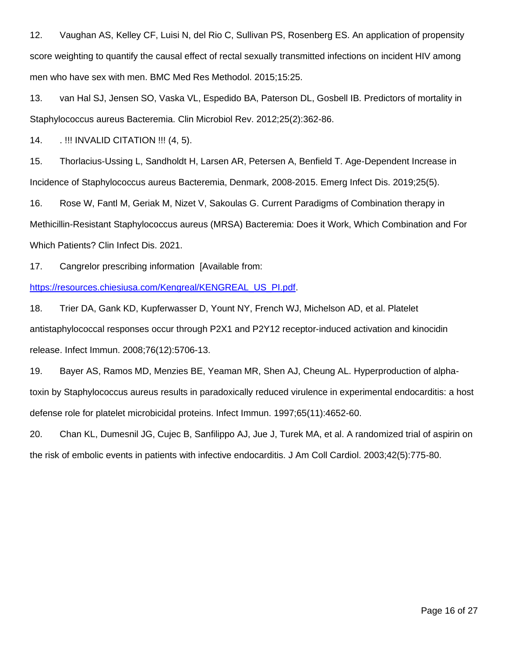12. Vaughan AS, Kelley CF, Luisi N, del Rio C, Sullivan PS, Rosenberg ES. An application of propensity score weighting to quantify the causal effect of rectal sexually transmitted infections on incident HIV among men who have sex with men. BMC Med Res Methodol. 2015;15:25.

13. van Hal SJ, Jensen SO, Vaska VL, Espedido BA, Paterson DL, Gosbell IB. Predictors of mortality in Staphylococcus aureus Bacteremia. Clin Microbiol Rev. 2012;25(2):362-86.

14. . !!! INVALID CITATION !!! (4, 5).

15. Thorlacius-Ussing L, Sandholdt H, Larsen AR, Petersen A, Benfield T. Age-Dependent Increase in Incidence of Staphylococcus aureus Bacteremia, Denmark, 2008-2015. Emerg Infect Dis. 2019;25(5).

16. Rose W, Fantl M, Geriak M, Nizet V, Sakoulas G. Current Paradigms of Combination therapy in Methicillin-Resistant Staphylococcus aureus (MRSA) Bacteremia: Does it Work, Which Combination and For Which Patients? Clin Infect Dis. 2021.

17. Cangrelor prescribing information [Available from:

[https://resources.chiesiusa.com/Kengreal/KENGREAL\\_US\\_PI.pdf.](https://resources.chiesiusa.com/Kengreal/KENGREAL_US_PI.pdf)

18. Trier DA, Gank KD, Kupferwasser D, Yount NY, French WJ, Michelson AD, et al. Platelet antistaphylococcal responses occur through P2X1 and P2Y12 receptor-induced activation and kinocidin release. Infect Immun. 2008;76(12):5706-13.

19. Bayer AS, Ramos MD, Menzies BE, Yeaman MR, Shen AJ, Cheung AL. Hyperproduction of alphatoxin by Staphylococcus aureus results in paradoxically reduced virulence in experimental endocarditis: a host defense role for platelet microbicidal proteins. Infect Immun. 1997;65(11):4652-60.

20. Chan KL, Dumesnil JG, Cujec B, Sanfilippo AJ, Jue J, Turek MA, et al. A randomized trial of aspirin on the risk of embolic events in patients with infective endocarditis. J Am Coll Cardiol. 2003;42(5):775-80.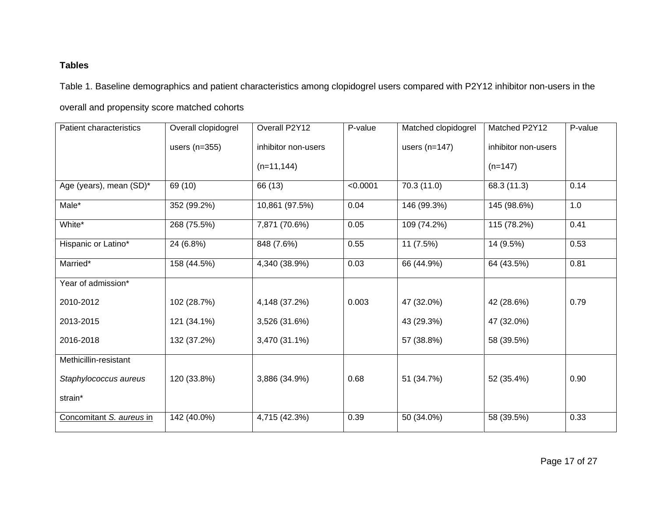## **Tables**

Table 1. Baseline demographics and patient characteristics among clopidogrel users compared with P2Y12 inhibitor non-users in the

overall and propensity score matched cohorts

| <b>Patient characteristics</b> | Overall clopidogrel | Overall P2Y12       | P-value  | Matched clopidogrel | Matched P2Y12       | P-value |
|--------------------------------|---------------------|---------------------|----------|---------------------|---------------------|---------|
|                                | users $(n=355)$     | inhibitor non-users |          | users $(n=147)$     | inhibitor non-users |         |
|                                |                     | $(n=11, 144)$       |          |                     | $(n=147)$           |         |
| Age (years), mean (SD)*        | 69 (10)             | 66 (13)             | < 0.0001 | 70.3 (11.0)         | 68.3 (11.3)         | 0.14    |
| Male*                          | 352 (99.2%)         | 10,861 (97.5%)      | 0.04     | 146 (99.3%)         | 145 (98.6%)         | 1.0     |
| White*                         | 268 (75.5%)         | 7,871 (70.6%)       | 0.05     | 109 (74.2%)         | 115 (78.2%)         | 0.41    |
| Hispanic or Latino*            | 24 (6.8%)           | 848 (7.6%)          | 0.55     | 11 (7.5%)           | 14 (9.5%)           | 0.53    |
| Married*                       | 158 (44.5%)         | 4,340 (38.9%)       | 0.03     | 66 (44.9%)          | 64 (43.5%)          | 0.81    |
| Year of admission*             |                     |                     |          |                     |                     |         |
| 2010-2012                      | 102 (28.7%)         | 4,148 (37.2%)       | 0.003    | 47 (32.0%)          | 42 (28.6%)          | 0.79    |
| 2013-2015                      | 121 (34.1%)         | 3,526 (31.6%)       |          | 43 (29.3%)          | 47 (32.0%)          |         |
| 2016-2018                      | 132 (37.2%)         | 3,470 (31.1%)       |          | 57 (38.8%)          | 58 (39.5%)          |         |
| Methicillin-resistant          |                     |                     |          |                     |                     |         |
| Staphylococcus aureus          | 120 (33.8%)         | 3,886 (34.9%)       | 0.68     | 51 (34.7%)          | 52 (35.4%)          | 0.90    |
| strain*                        |                     |                     |          |                     |                     |         |
| Concomitant S. aureus in       | 142 (40.0%)         | 4,715 (42.3%)       | 0.39     | 50 (34.0%)          | 58 (39.5%)          | 0.33    |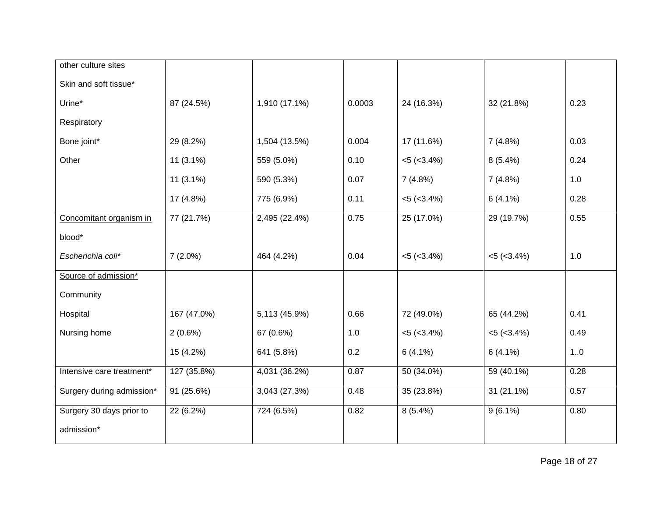| other culture sites       |             |               |        |                   |                   |      |
|---------------------------|-------------|---------------|--------|-------------------|-------------------|------|
| Skin and soft tissue*     |             |               |        |                   |                   |      |
| Urine*                    | 87 (24.5%)  | 1,910 (17.1%) | 0.0003 | 24 (16.3%)        | 32 (21.8%)        | 0.23 |
| Respiratory               |             |               |        |                   |                   |      |
| Bone joint*               | 29 (8.2%)   | 1,504 (13.5%) | 0.004  | 17 (11.6%)        | 7(4.8%)           | 0.03 |
| Other                     | $11(3.1\%)$ | 559 (5.0%)    | 0.10   | $< 5 (< 3.4\%)$   | $8(5.4\%)$        | 0.24 |
|                           | $11(3.1\%)$ | 590 (5.3%)    | 0.07   | 7(4.8%)           | 7(4.8%)           | 1.0  |
|                           | 17 (4.8%)   | 775 (6.9%)    | 0.11   | $< 5 (< 3.4\%)$   | $6(4.1\%)$        | 0.28 |
| Concomitant organism in   | 77 (21.7%)  | 2,495 (22.4%) | 0.75   | 25 (17.0%)        | 29 (19.7%)        | 0.55 |
| blood*                    |             |               |        |                   |                   |      |
| Escherichia coli*         | $7(2.0\%)$  | 464 (4.2%)    | 0.04   | $<$ 5 ( $<$ 3.4%) | $< 5 (< 3.4\%)$   | 1.0  |
| Source of admission*      |             |               |        |                   |                   |      |
| Community                 |             |               |        |                   |                   |      |
| Hospital                  | 167 (47.0%) | 5,113 (45.9%) | 0.66   | 72 (49.0%)        | 65 (44.2%)        | 0.41 |
| Nursing home              | $2(0.6\%)$  | 67 (0.6%)     | 1.0    | $<$ 5 ( $<$ 3.4%) | $<$ 5 ( $<$ 3.4%) | 0.49 |
|                           | 15 (4.2%)   | 641 (5.8%)    | 0.2    | $6(4.1\%)$        | $6(4.1\%)$        | 1.0  |
| Intensive care treatment* | 127 (35.8%) | 4,031 (36.2%) | 0.87   | 50 (34.0%)        | 59 (40.1%)        | 0.28 |
| Surgery during admission* | 91 (25.6%)  | 3,043 (27.3%) | 0.48   | 35 (23.8%)        | 31 (21.1%)        | 0.57 |
| Surgery 30 days prior to  | 22 (6.2%)   | 724 (6.5%)    | 0.82   | $8(5.4\%)$        | $9(6.1\%)$        | 0.80 |
| admission*                |             |               |        |                   |                   |      |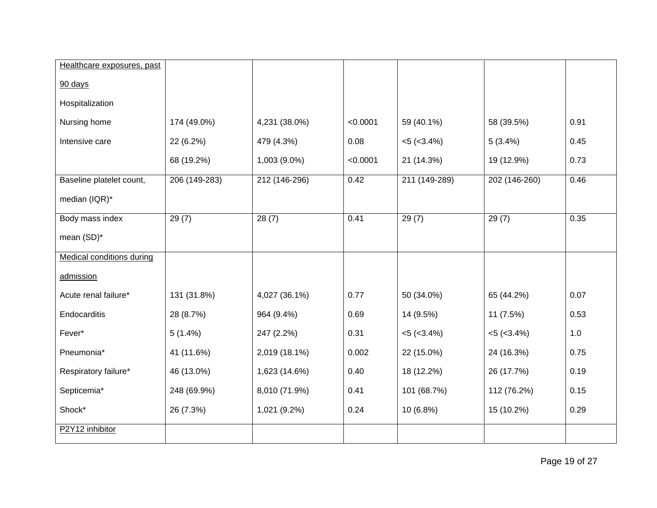| Healthcare exposures, past       |               |               |          |                   |                 |      |
|----------------------------------|---------------|---------------|----------|-------------------|-----------------|------|
| 90 days                          |               |               |          |                   |                 |      |
| Hospitalization                  |               |               |          |                   |                 |      |
| Nursing home                     | 174 (49.0%)   | 4,231 (38.0%) | < 0.0001 | 59 (40.1%)        | 58 (39.5%)      | 0.91 |
| Intensive care                   | 22 (6.2%)     | 479 (4.3%)    | 0.08     | $<5$ ( $<3.4\%$ ) | 5(3.4%)         | 0.45 |
|                                  | 68 (19.2%)    | 1,003 (9.0%)  | < 0.0001 | 21 (14.3%)        | 19 (12.9%)      | 0.73 |
| Baseline platelet count,         | 206 (149-283) | 212 (146-296) | 0.42     | 211 (149-289)     | 202 (146-260)   | 0.46 |
| median (IQR)*                    |               |               |          |                   |                 |      |
| Body mass index                  | 29(7)         | 28(7)         | 0.41     | 29(7)             | 29(7)           | 0.35 |
| mean (SD)*                       |               |               |          |                   |                 |      |
| <b>Medical conditions during</b> |               |               |          |                   |                 |      |
| admission                        |               |               |          |                   |                 |      |
| Acute renal failure*             | 131 (31.8%)   | 4,027 (36.1%) | 0.77     | 50 (34.0%)        | 65 (44.2%)      | 0.07 |
| Endocarditis                     | 28 (8.7%)     | 964 (9.4%)    | 0.69     | 14 (9.5%)         | 11 (7.5%)       | 0.53 |
| Fever*                           | $5(1.4\%)$    | 247 (2.2%)    | 0.31     | $<5$ ( $<3.4\%$ ) | $< 5 (< 3.4\%)$ | 1.0  |
| Pneumonia*                       | 41 (11.6%)    | 2,019 (18.1%) | 0.002    | 22 (15.0%)        | 24 (16.3%)      | 0.75 |
| Respiratory failure*             | 46 (13.0%)    | 1,623 (14.6%) | 0.40     | 18 (12.2%)        | 26 (17.7%)      | 0.19 |
| Septicemia*                      | 248 (69.9%)   | 8,010 (71.9%) | 0.41     | 101 (68.7%)       | 112 (76.2%)     | 0.15 |
| Shock*                           | 26 (7.3%)     | 1,021 (9.2%)  | 0.24     | 10 (6.8%)         | 15 (10.2%)      | 0.29 |
| P2Y12 inhibitor                  |               |               |          |                   |                 |      |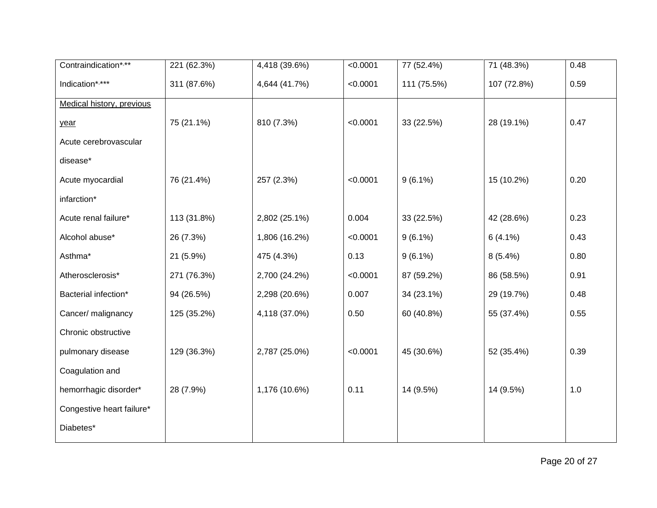| Contraindication*.**      | 221 (62.3%) | 4,418 (39.6%) | < 0.0001 | 77 (52.4%)  | 71 (48.3%)  | 0.48  |
|---------------------------|-------------|---------------|----------|-------------|-------------|-------|
| Indication*,***           | 311 (87.6%) | 4,644 (41.7%) | < 0.0001 | 111 (75.5%) | 107 (72.8%) | 0.59  |
| Medical history, previous |             |               |          |             |             |       |
| year                      | 75 (21.1%)  | 810 (7.3%)    | < 0.0001 | 33 (22.5%)  | 28 (19.1%)  | 0.47  |
| Acute cerebrovascular     |             |               |          |             |             |       |
| disease*                  |             |               |          |             |             |       |
| Acute myocardial          | 76 (21.4%)  | 257 (2.3%)    | < 0.0001 | $9(6.1\%)$  | 15 (10.2%)  | 0.20  |
| infarction*               |             |               |          |             |             |       |
| Acute renal failure*      | 113 (31.8%) | 2,802 (25.1%) | 0.004    | 33 (22.5%)  | 42 (28.6%)  | 0.23  |
| Alcohol abuse*            | 26 (7.3%)   | 1,806 (16.2%) | < 0.0001 | $9(6.1\%)$  | $6(4.1\%)$  | 0.43  |
| Asthma*                   | 21 (5.9%)   | 475 (4.3%)    | 0.13     | $9(6.1\%)$  | $8(5.4\%)$  | 0.80  |
| Atherosclerosis*          | 271 (76.3%) | 2,700 (24.2%) | < 0.0001 | 87 (59.2%)  | 86 (58.5%)  | 0.91  |
| Bacterial infection*      | 94 (26.5%)  | 2,298 (20.6%) | 0.007    | 34 (23.1%)  | 29 (19.7%)  | 0.48  |
| Cancer/ malignancy        | 125 (35.2%) | 4,118 (37.0%) | 0.50     | 60 (40.8%)  | 55 (37.4%)  | 0.55  |
| Chronic obstructive       |             |               |          |             |             |       |
| pulmonary disease         | 129 (36.3%) | 2,787 (25.0%) | < 0.0001 | 45 (30.6%)  | 52 (35.4%)  | 0.39  |
| Coagulation and           |             |               |          |             |             |       |
| hemorrhagic disorder*     | 28 (7.9%)   | 1,176 (10.6%) | 0.11     | 14 (9.5%)   | 14 (9.5%)   | $1.0$ |
| Congestive heart failure* |             |               |          |             |             |       |
| Diabetes*                 |             |               |          |             |             |       |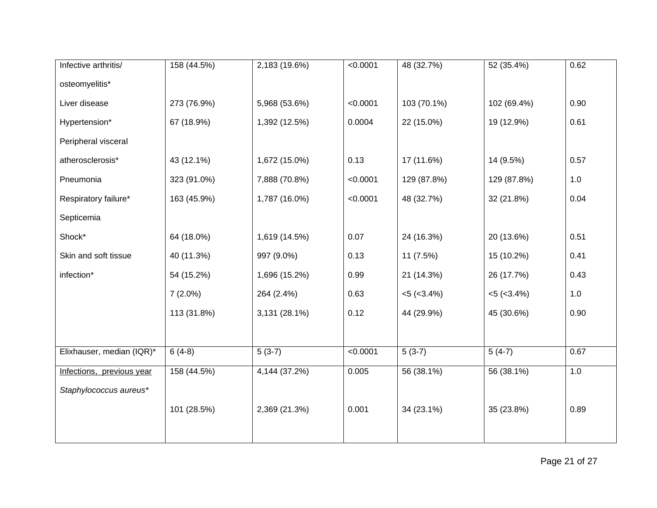| Infective arthritis/      | 158 (44.5%) | 2,183 (19.6%) | < 0.0001 | 48 (32.7%)      | 52 (35.4%)      | 0.62 |
|---------------------------|-------------|---------------|----------|-----------------|-----------------|------|
| osteomyelitis*            |             |               |          |                 |                 |      |
| Liver disease             | 273 (76.9%) | 5,968 (53.6%) | < 0.0001 | 103 (70.1%)     | 102 (69.4%)     | 0.90 |
| Hypertension*             | 67 (18.9%)  | 1,392 (12.5%) | 0.0004   | 22 (15.0%)      | 19 (12.9%)      | 0.61 |
| Peripheral visceral       |             |               |          |                 |                 |      |
| atherosclerosis*          | 43 (12.1%)  | 1,672 (15.0%) | 0.13     | 17 (11.6%)      | 14 (9.5%)       | 0.57 |
| Pneumonia                 | 323 (91.0%) | 7,888 (70.8%) | < 0.0001 | 129 (87.8%)     | 129 (87.8%)     | 1.0  |
| Respiratory failure*      | 163 (45.9%) | 1,787 (16.0%) | < 0.0001 | 48 (32.7%)      | 32 (21.8%)      | 0.04 |
| Septicemia                |             |               |          |                 |                 |      |
| Shock*                    | 64 (18.0%)  | 1,619 (14.5%) | 0.07     | 24 (16.3%)      | 20 (13.6%)      | 0.51 |
| Skin and soft tissue      | 40 (11.3%)  | 997 (9.0%)    | 0.13     | 11(7.5%)        | 15 (10.2%)      | 0.41 |
| infection*                | 54 (15.2%)  | 1,696 (15.2%) | 0.99     | 21 (14.3%)      | 26 (17.7%)      | 0.43 |
|                           | $7(2.0\%)$  | 264 (2.4%)    | 0.63     | $< 5 (< 3.4\%)$ | $< 5 (< 3.4\%)$ | 1.0  |
|                           | 113 (31.8%) | 3,131 (28.1%) | 0.12     | 44 (29.9%)      | 45 (30.6%)      | 0.90 |
|                           |             |               |          |                 |                 |      |
| Elixhauser, median (IQR)* | $6(4-8)$    | $5(3-7)$      | < 0.0001 | $5(3-7)$        | $5(4-7)$        | 0.67 |
| Infections, previous year | 158 (44.5%) | 4,144 (37.2%) | 0.005    | 56 (38.1%)      | 56 (38.1%)      | 1.0  |
| Staphylococcus aureus*    |             |               |          |                 |                 |      |
|                           | 101 (28.5%) | 2,369 (21.3%) | 0.001    | 34 (23.1%)      | 35 (23.8%)      | 0.89 |
|                           |             |               |          |                 |                 |      |
|                           |             |               |          |                 |                 |      |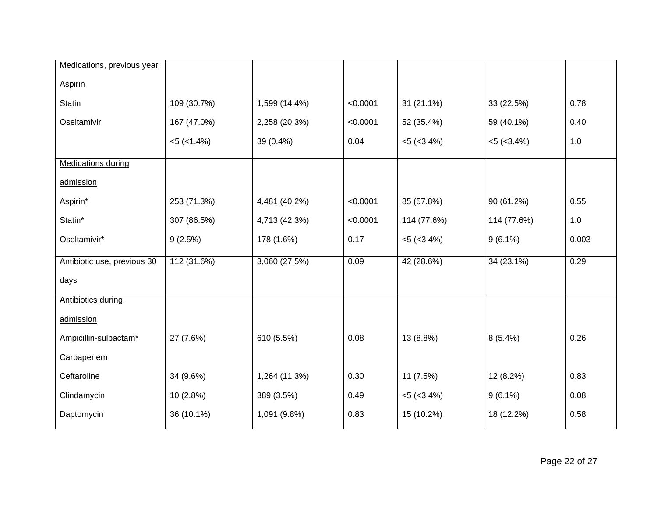| Medications, previous year  |                   |               |          |                   |                   |       |
|-----------------------------|-------------------|---------------|----------|-------------------|-------------------|-------|
| Aspirin                     |                   |               |          |                   |                   |       |
| <b>Statin</b>               | 109 (30.7%)       | 1,599 (14.4%) | < 0.0001 | 31 (21.1%)        | 33 (22.5%)        | 0.78  |
| Oseltamivir                 | 167 (47.0%)       | 2,258 (20.3%) | < 0.0001 | 52 (35.4%)        | 59 (40.1%)        | 0.40  |
|                             | $<5$ ( $<1.4\%$ ) | 39 (0.4%)     | 0.04     | $<$ 5 ( $<$ 3.4%) | $<$ 5 ( $<$ 3.4%) | 1.0   |
| <b>Medications during</b>   |                   |               |          |                   |                   |       |
| admission                   |                   |               |          |                   |                   |       |
| Aspirin*                    | 253 (71.3%)       | 4,481 (40.2%) | < 0.0001 | 85 (57.8%)        | 90 (61.2%)        | 0.55  |
| Statin*                     | 307 (86.5%)       | 4,713 (42.3%) | < 0.0001 | 114 (77.6%)       | 114 (77.6%)       | 1.0   |
| Oseltamivir*                | 9(2.5%)           | 178 (1.6%)    | 0.17     | $<5$ ( $<3.4\%$ ) | $9(6.1\%)$        | 0.003 |
| Antibiotic use, previous 30 | 112 (31.6%)       | 3,060 (27.5%) | 0.09     | 42 (28.6%)        | 34 (23.1%)        | 0.29  |
| days                        |                   |               |          |                   |                   |       |
| <b>Antibiotics during</b>   |                   |               |          |                   |                   |       |
| admission                   |                   |               |          |                   |                   |       |
| Ampicillin-sulbactam*       | 27 (7.6%)         | 610 (5.5%)    | 0.08     | 13 (8.8%)         | $8(5.4\%)$        | 0.26  |
| Carbapenem                  |                   |               |          |                   |                   |       |
| Ceftaroline                 | 34 (9.6%)         | 1,264 (11.3%) | 0.30     | 11 (7.5%)         | 12 (8.2%)         | 0.83  |
| Clindamycin                 | 10(2.8%)          | 389 (3.5%)    | 0.49     | $<$ 5 ( $<$ 3.4%) | $9(6.1\%)$        | 0.08  |
| Daptomycin                  | 36 (10.1%)        | 1,091 (9.8%)  | 0.83     | 15 (10.2%)        | 18 (12.2%)        | 0.58  |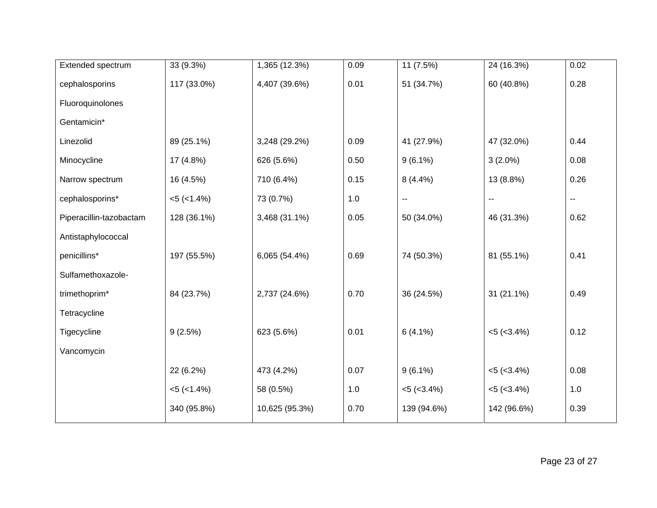| Extended spectrum       | 33 (9.3%)           | 1,365 (12.3%)  | 0.09 | 11 (7.5%)       | 24 (16.3%)      | 0.02 |
|-------------------------|---------------------|----------------|------|-----------------|-----------------|------|
| cephalosporins          | 117 (33.0%)         | 4,407 (39.6%)  | 0.01 | 51 (34.7%)      | 60 (40.8%)      | 0.28 |
| Fluoroquinolones        |                     |                |      |                 |                 |      |
| Gentamicin*             |                     |                |      |                 |                 |      |
| Linezolid               | 89 (25.1%)          | 3,248 (29.2%)  | 0.09 | 41 (27.9%)      | 47 (32.0%)      | 0.44 |
| Minocycline             | 17 (4.8%)           | 626 (5.6%)     | 0.50 | $9(6.1\%)$      | $3(2.0\%)$      | 0.08 |
| Narrow spectrum         | 16 (4.5%)           | 710 (6.4%)     | 0.15 | $8(4.4\%)$      | 13 (8.8%)       | 0.26 |
| cephalosporins*         | $<5$ ( $<1.4\%$ )   | 73 (0.7%)      | 1.0  | $\sim$          | ۰.              | 44   |
| Piperacillin-tazobactam | 128 (36.1%)         | 3,468 (31.1%)  | 0.05 | 50 (34.0%)      | 46 (31.3%)      | 0.62 |
| Antistaphylococcal      |                     |                |      |                 |                 |      |
| penicillins*            | 197 (55.5%)         | 6,065 (54.4%)  | 0.69 | 74 (50.3%)      | 81 (55.1%)      | 0.41 |
| Sulfamethoxazole-       |                     |                |      |                 |                 |      |
| trimethoprim*           | 84 (23.7%)          | 2,737 (24.6%)  | 0.70 | 36 (24.5%)      | 31 (21.1%)      | 0.49 |
| Tetracycline            |                     |                |      |                 |                 |      |
| Tigecycline             | 9(2.5%)             | 623 (5.6%)     | 0.01 | $6(4.1\%)$      | $< 5 (< 3.4\%)$ | 0.12 |
| Vancomycin              |                     |                |      |                 |                 |      |
|                         | 22 (6.2%)           | 473 (4.2%)     | 0.07 | $9(6.1\%)$      | $< 5 (< 3.4\%)$ | 0.08 |
|                         | $< 5$ ( $< 1.4\%$ ) | 58 (0.5%)      | 1.0  | $< 5 (< 3.4\%)$ | $< 5 (< 3.4\%)$ | 1.0  |
|                         | 340 (95.8%)         | 10,625 (95.3%) | 0.70 | 139 (94.6%)     | 142 (96.6%)     | 0.39 |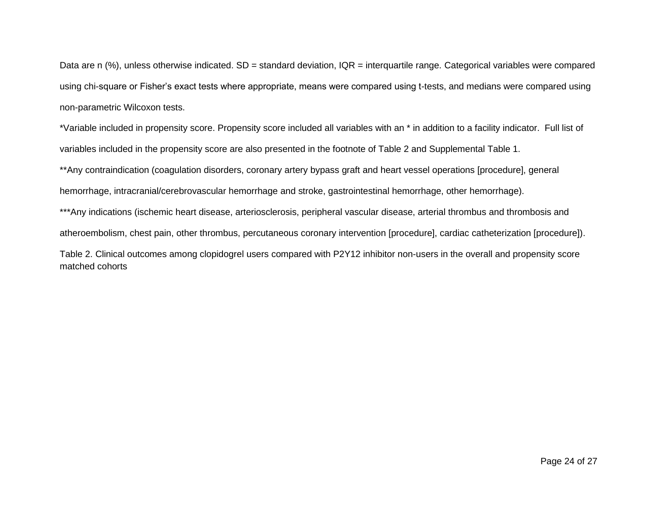Data are n  $(\%)$ , unless otherwise indicated. SD = standard deviation, IQR = interquartile range. Categorical variables were compared using chi-square or Fisher's exact tests where appropriate, means were compared using t-tests, and medians were compared using non-parametric Wilcoxon tests.

\*Variable included in propensity score. Propensity score included all variables with an \* in addition to a facility indicator. Full list of variables included in the propensity score are also presented in the footnote of Table 2 and Supplemental Table 1.

\*\*Any contraindication (coagulation disorders, coronary artery bypass graft and heart vessel operations [procedure], general hemorrhage, intracranial/cerebrovascular hemorrhage and stroke, gastrointestinal hemorrhage, other hemorrhage).

\*\*\*Any indications (ischemic heart disease, arteriosclerosis, peripheral vascular disease, arterial thrombus and thrombosis and atheroembolism, chest pain, other thrombus, percutaneous coronary intervention [procedure], cardiac catheterization [procedure]).

Table 2. Clinical outcomes among clopidogrel users compared with P2Y12 inhibitor non-users in the overall and propensity score matched cohorts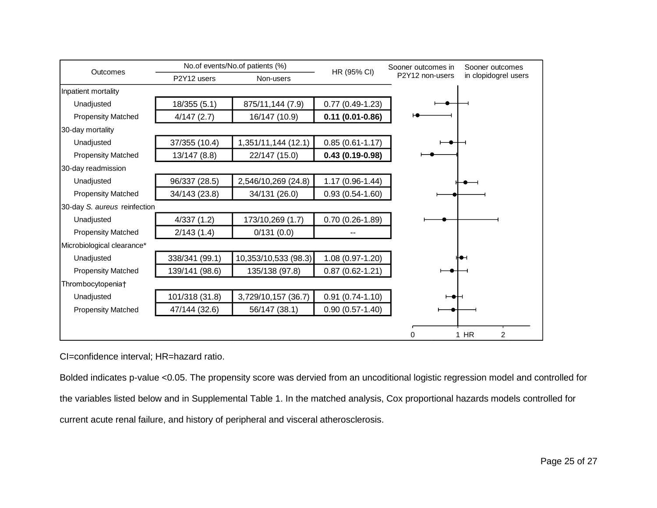|                              |                | No.of events/No.of patients (%) |                     | Sooner outcomes in<br>HR (95% CI) | Sooner outcomes          |
|------------------------------|----------------|---------------------------------|---------------------|-----------------------------------|--------------------------|
| Outcomes                     | P2Y12 users    | Non-users                       |                     | P2Y12 non-users                   | in clopidogrel users     |
| Inpatient mortality          |                |                                 |                     |                                   |                          |
| Unadjusted                   | 18/355 (5.1)   | 875/11,144 (7.9)                | $0.77(0.49-1.23)$   |                                   |                          |
| <b>Propensity Matched</b>    | 4/147(2.7)     | 16/147 (10.9)                   | $0.11(0.01 - 0.86)$ |                                   |                          |
| 30-day mortality             |                |                                 |                     |                                   |                          |
| Unadjusted                   | 37/355 (10.4)  | 1,351/11,144 (12.1)             | $0.85(0.61 - 1.17)$ |                                   |                          |
| <b>Propensity Matched</b>    | 13/147(8.8)    | 22/147 (15.0)                   | $0.43(0.19-0.98)$   |                                   |                          |
| 30-day readmission           |                |                                 |                     |                                   |                          |
| Unadjusted                   | 96/337 (28.5)  | 2,546/10,269 (24.8)             | 1.17 (0.96-1.44)    |                                   |                          |
| <b>Propensity Matched</b>    | 34/143 (23.8)  | 34/131 (26.0)                   | $0.93(0.54-1.60)$   |                                   |                          |
| 30-day S. aureus reinfection |                |                                 |                     |                                   |                          |
| Unadjusted                   | 4/337(1.2)     | 173/10,269 (1.7)                | $0.70(0.26-1.89)$   |                                   |                          |
| <b>Propensity Matched</b>    | 2/143(1.4)     | 0/131(0.0)                      |                     |                                   |                          |
| Microbiological clearance*   |                |                                 |                     |                                   |                          |
| Unadjusted                   | 338/341 (99.1) | 10,353/10,533 (98.3)            | $1.08(0.97-1.20)$   |                                   |                          |
| <b>Propensity Matched</b>    | 139/141 (98.6) | 135/138 (97.8)                  | $0.87(0.62 - 1.21)$ |                                   |                          |
| Thrombocytopenia+            |                |                                 |                     |                                   |                          |
| Unadjusted                   | 101/318 (31.8) | 3,729/10,157 (36.7)             | $0.91(0.74-1.10)$   |                                   |                          |
| <b>Propensity Matched</b>    | 47/144 (32.6)  | 56/147 (38.1)                   | $0.90(0.57-1.40)$   |                                   |                          |
|                              |                |                                 |                     |                                   |                          |
|                              |                |                                 |                     | 0                                 | $1$ HR<br>$\overline{2}$ |

CI=confidence interval; HR=hazard ratio.

Bolded indicates p-value <0.05. The propensity score was dervied from an uncoditional logistic regression model and controlled for the variables listed below and in Supplemental Table 1. In the matched analysis, Cox proportional hazards models controlled for current acute renal failure, and history of peripheral and visceral atherosclerosis.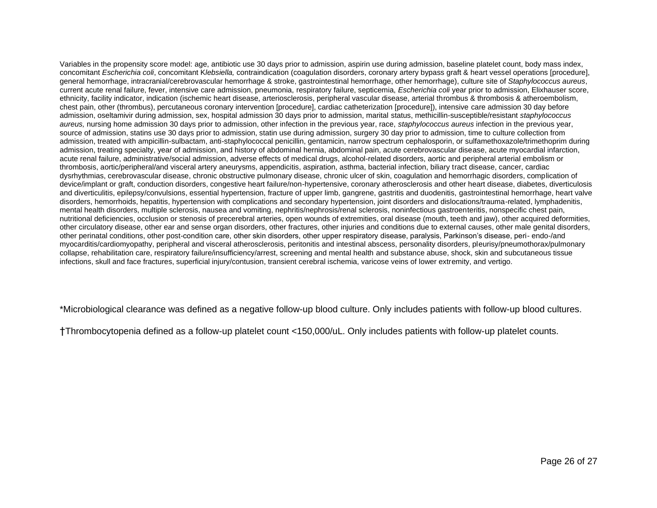Variables in the propensity score model: age, antibiotic use 30 days prior to admission, aspirin use during admission, baseline platelet count, body mass index, concomitant *Escherichia coli*, concomitant K*lebsiella,* contraindication (coagulation disorders, coronary artery bypass graft & heart vessel operations [procedure], general hemorrhage, intracranial/cerebrovascular hemorrhage & stroke, gastrointestinal hemorrhage, other hemorrhage), culture site of *Staphylococcus aureus*, current acute renal failure, fever, intensive care admission, pneumonia, respiratory failure, septicemia, *Escherichia coli* year prior to admission, Elixhauser score, ethnicity, facility indicator, indication (ischemic heart disease, arteriosclerosis, peripheral vascular disease, arterial thrombus & thrombosis & atheroembolism, chest pain, other (thrombus), percutaneous coronary intervention [procedure], cardiac catheterization [procedure]), intensive care admission 30 day before admission, oseltamivir during admission, sex, hospital admission 30 days prior to admission, marital status, methicillin-susceptible/resistant *staphylococcus aureus,* nursing home admission 30 days prior to admission, other infection in the previous year, race, *staphylococcus aureus* infection in the previous year, source of admission, statins use 30 days prior to admission, statin use during admission, surgery 30 day prior to admission, time to culture collection from admission, treated with ampicillin-sulbactam, anti-staphylococcal penicillin, gentamicin, narrow spectrum cephalosporin, or sulfamethoxazole/trimethoprim during admission, treating specialty, year of admission, and history of abdominal hernia, abdominal pain, acute cerebrovascular disease, acute myocardial infarction, acute renal failure, administrative/social admission, adverse effects of medical drugs, alcohol-related disorders, aortic and peripheral arterial embolism or thrombosis, aortic/peripheral/and visceral artery aneurysms, appendicitis, aspiration, asthma, bacterial infection, biliary tract disease, cancer, cardiac dysrhythmias, cerebrovascular disease, chronic obstructive pulmonary disease, chronic ulcer of skin, coagulation and hemorrhagic disorders, complication of device/implant or graft, conduction disorders, congestive heart failure/non-hypertensive, coronary atherosclerosis and other heart disease, diabetes, diverticulosis and diverticulitis, epilepsy/convulsions, essential hypertension, fracture of upper limb, gangrene, gastritis and duodenitis, gastrointestinal hemorrhage, heart valve disorders, hemorrhoids, hepatitis, hypertension with complications and secondary hypertension, joint disorders and dislocations/trauma-related, lymphadenitis, mental health disorders, multiple sclerosis, nausea and vomiting, nephritis/nephrosis/renal sclerosis, noninfectious gastroenteritis, nonspecific chest pain, nutritional deficiencies, occlusion or stenosis of precerebral arteries, open wounds of extremities, oral disease (mouth, teeth and jaw), other acquired deformities, other circulatory disease, other ear and sense organ disorders, other fractures, other injuries and conditions due to external causes, other male genital disorders, other perinatal conditions, other post-condition care, other skin disorders, other upper respiratory disease, paralysis, Parkinson's disease, peri- endo-/and myocarditis/cardiomyopathy, peripheral and visceral atherosclerosis, peritonitis and intestinal abscess, personality disorders, pleurisy/pneumothorax/pulmonary collapse, rehabilitation care, respiratory failure/insufficiency/arrest, screening and mental health and substance abuse, shock, skin and subcutaneous tissue infections, skull and face fractures, superficial injury/contusion, transient cerebral ischemia, varicose veins of lower extremity, and vertigo.

\*Microbiological clearance was defined as a negative follow-up blood culture. Only includes patients with follow-up blood cultures.

†Thrombocytopenia defined as a follow-up platelet count <150,000/uL. Only includes patients with follow-up platelet counts.